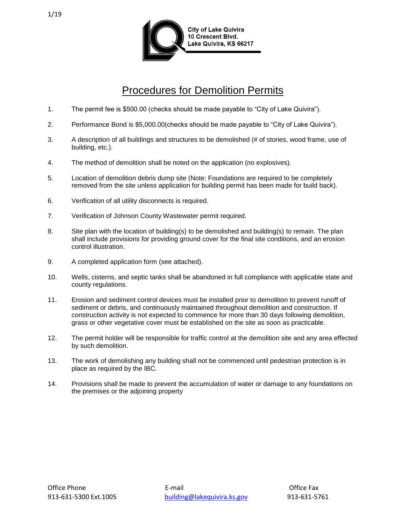

## Procedures for Demolition Permits

- 1. The permit fee is \$500.00 (checks should be made payable to "City of Lake Quivira").
- 2. Performance Bond is \$5,000.00(checks should be made payable to "City of Lake Quivira").
- 3. A description of all buildings and structures to be demolished (# of stories, wood frame, use of building, etc.).
- 4. The method of demolition shall be noted on the application (no explosives).
- 5. Location of demolition debris dump site (Note: Foundations are required to be completely removed from the site unless application for building permit has been made for build back).
- 6. Verification of all utility disconnects is required.
- 7. Verification of Johnson County Wastewater permit required.
- 8. Site plan with the location of building(s) to be demolished and building(s) to remain. The plan shall include provisions for providing ground cover for the final site conditions, and an erosion control illustration.
- 9. A completed application form (see attached).
- 10. Wells, cisterns, and septic tanks shall be abandoned in full compliance with applicable state and county regulations.
- 11. Erosion and sediment control devices must be installed prior to demolition to prevent runoff of sediment or debris, and continuously maintained throughout demolition and construction. If construction activity is not expected to commence for more than 30 days following demolition, grass or other vegetative cover must be established on the site as soon as practicable.
- 12. The permit holder will be responsible for traffic control at the demolition site and any area effected by such demolition.
- 13. The work of demolishing any building shall not be commenced until pedestrian protection is in place as required by the IBC.
- 14. Provisions shall be made to prevent the accumulation of water or damage to any foundations on the premises or the adjoining property